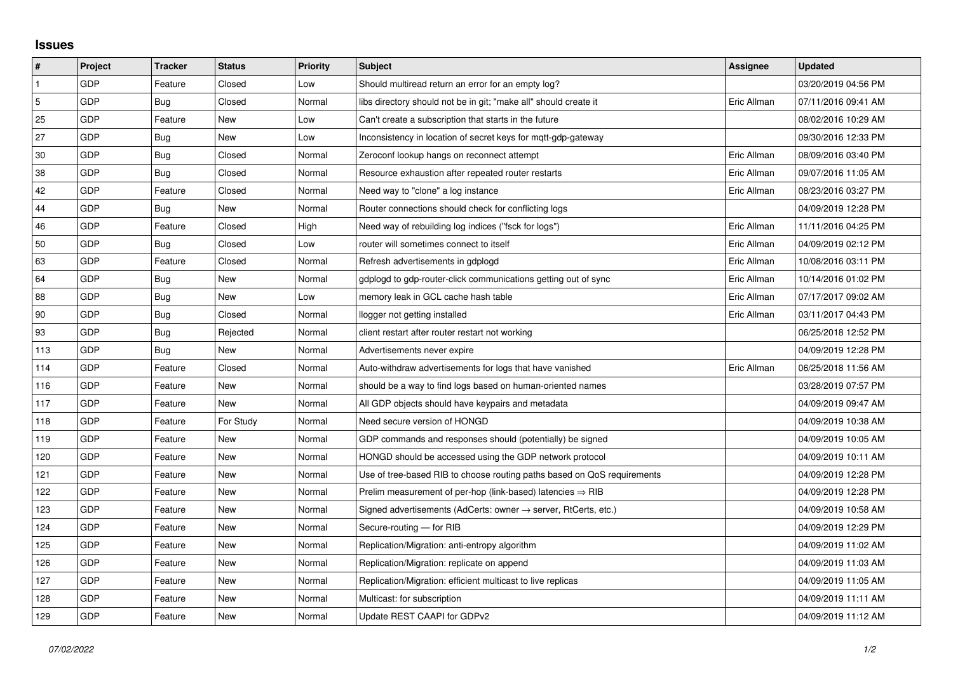## **Issues**

| $\vert$ #      | Project    | <b>Tracker</b> | <b>Status</b> | <b>Priority</b> | <b>Subject</b>                                                             | Assignee    | <b>Updated</b>      |
|----------------|------------|----------------|---------------|-----------------|----------------------------------------------------------------------------|-------------|---------------------|
| $\mathbf{1}$   | GDP        | Feature        | Closed        | Low             | Should multiread return an error for an empty log?                         |             | 03/20/2019 04:56 PM |
| $\overline{5}$ | GDP        | Bug            | Closed        | Normal          | libs directory should not be in git; "make all" should create it           | Eric Allman | 07/11/2016 09:41 AM |
| 25             | GDP        | Feature        | New           | Low             | Can't create a subscription that starts in the future                      |             | 08/02/2016 10:29 AM |
| 27             | GDP        | Bug            | New           | Low             | Inconsistency in location of secret keys for mgtt-gdp-gateway              |             | 09/30/2016 12:33 PM |
| 30             | GDP        | Bug            | Closed        | Normal          | Zeroconf lookup hangs on reconnect attempt                                 | Eric Allman | 08/09/2016 03:40 PM |
| 38             | <b>GDP</b> | Bug            | Closed        | Normal          | Resource exhaustion after repeated router restarts                         | Eric Allman | 09/07/2016 11:05 AM |
| 42             | GDP        | Feature        | Closed        | Normal          | Need way to "clone" a log instance                                         | Eric Allman | 08/23/2016 03:27 PM |
| 44             | GDP        | Bug            | New           | Normal          | Router connections should check for conflicting logs                       |             | 04/09/2019 12:28 PM |
| 46             | GDP        | Feature        | Closed        | High            | Need way of rebuilding log indices ("fsck for logs")                       | Eric Allman | 11/11/2016 04:25 PM |
| 50             | GDP        | Bug            | Closed        | Low             | router will sometimes connect to itself                                    | Eric Allman | 04/09/2019 02:12 PM |
| 63             | GDP        | Feature        | Closed        | Normal          | Refresh advertisements in gdplogd                                          | Eric Allman | 10/08/2016 03:11 PM |
| 64             | GDP        | Bug            | New           | Normal          | gdplogd to gdp-router-click communications getting out of sync             | Eric Allman | 10/14/2016 01:02 PM |
| 88             | GDP        | Bug            | New           | Low             | memory leak in GCL cache hash table                                        | Eric Allman | 07/17/2017 09:02 AM |
| 90             | GDP        | Bug            | Closed        | Normal          | llogger not getting installed                                              | Eric Allman | 03/11/2017 04:43 PM |
| 93             | GDP        | <b>Bug</b>     | Rejected      | Normal          | client restart after router restart not working                            |             | 06/25/2018 12:52 PM |
| 113            | GDP        | Bug            | New           | Normal          | Advertisements never expire                                                |             | 04/09/2019 12:28 PM |
| 114            | GDP        | Feature        | Closed        | Normal          | Auto-withdraw advertisements for logs that have vanished                   | Eric Allman | 06/25/2018 11:56 AM |
| 116            | GDP        | Feature        | New           | Normal          | should be a way to find logs based on human-oriented names                 |             | 03/28/2019 07:57 PM |
| 117            | GDP        | Feature        | New           | Normal          | All GDP objects should have keypairs and metadata                          |             | 04/09/2019 09:47 AM |
| 118            | GDP        | Feature        | For Study     | Normal          | Need secure version of HONGD                                               |             | 04/09/2019 10:38 AM |
| 119            | GDP        | Feature        | New           | Normal          | GDP commands and responses should (potentially) be signed                  |             | 04/09/2019 10:05 AM |
| 120            | GDP        | Feature        | New           | Normal          | HONGD should be accessed using the GDP network protocol                    |             | 04/09/2019 10:11 AM |
| 121            | GDP        | Feature        | New           | Normal          | Use of tree-based RIB to choose routing paths based on QoS requirements    |             | 04/09/2019 12:28 PM |
| 122            | GDP        | Feature        | New           | Normal          | Prelim measurement of per-hop (link-based) latencies $\Rightarrow$ RIB     |             | 04/09/2019 12:28 PM |
| 123            | GDP        | Feature        | New           | Normal          | Signed advertisements (AdCerts: owner $\rightarrow$ server, RtCerts, etc.) |             | 04/09/2019 10:58 AM |
| 124            | GDP        | Feature        | New           | Normal          | Secure-routing - for RIB                                                   |             | 04/09/2019 12:29 PM |
| 125            | GDP        | Feature        | New           | Normal          | Replication/Migration: anti-entropy algorithm                              |             | 04/09/2019 11:02 AM |
| 126            | GDP        | Feature        | New           | Normal          | Replication/Migration: replicate on append                                 |             | 04/09/2019 11:03 AM |
| 127            | GDP        | Feature        | New           | Normal          | Replication/Migration: efficient multicast to live replicas                |             | 04/09/2019 11:05 AM |
| 128            | GDP        | Feature        | New           | Normal          | Multicast: for subscription                                                |             | 04/09/2019 11:11 AM |
| 129            | GDP        | Feature        | New           | Normal          | Update REST CAAPI for GDPv2                                                |             | 04/09/2019 11:12 AM |